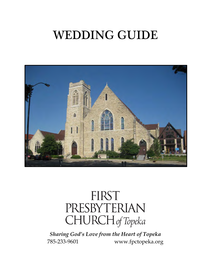# WEDDING GUIDE



# FIRST PRESBYTERIAN CHURCH of Topeka

*Sharing God's Love from the Heart of Topeka* 785-233-9601 www.fpctopeka.org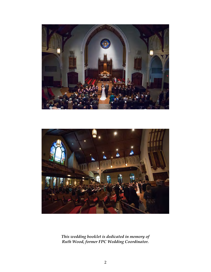



*This wedding booklet is dedicated in memory of Ruth Wood, former FPC Wedding Coordinator.*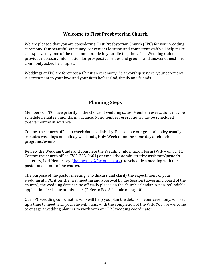#### **Welcome to First Presbyterian Church**

We are pleased that you are considering First Presbyterian Church (FPC) for your wedding ceremony. Our beautiful sanctuary, convenient location and competent staff will help make this special day one of the most memorable in your life together. This Wedding Guide provides necessary information for prospective brides and grooms and answers questions commonly asked by couples.

Weddings at FPC are foremost a Christian ceremony. As a worship service, your ceremony is a testament to your love and your faith before God, family and friends.

# **Planning Steps**

Members of FPC have priority in the choice of wedding dates. Member reservations may be scheduled eighteen months in advance. Non-member reservations may be scheduled twelve months in advance.

Contact the church office to check date availability. Please note our general policy usually excludes weddings on holiday weekends, Holy Week or on the same day as church programs/events.

Review the Wedding Guide and complete the Wedding Information Form (WIF – on pg. 11). Contact the church office (785-233-9601) or email the administrative assistant/pastor's secretary, Lori Hennessey [\(lhennessey@fpctopeka.org\)](mailto:lhennessey@fpctopeka.org), to schedule a meeting with the pastor and a tour of the church.

The purpose of the pastor meeting is to discuss and clarify the expectations of your wedding at FPC. After the first meeting and approval by the Session (governing board of the church), the wedding date can be officially placed on the church calendar. A non-refundable application fee is due at this time. (Refer to Fee Schedule on pg. 10).

Our FPC wedding coordinator, who will help you plan the details of your ceremony, will set up a time to meet with you. She will assist with the completion of the WIF. You are welcome to engage a wedding planner to work with our FPC wedding coordinator.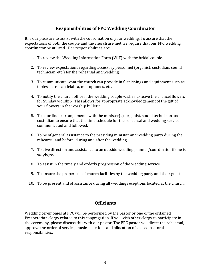### **Responsibilities of FPC Wedding Coordinator**

It is our pleasure to assist with the coordination of your wedding. To assure that the expectations of both the couple and the church are met we require that our FPC wedding coordinator be utilized. Her responsibilities are:

- 1. To review the Wedding Information Form (WIF) with the bridal couple.
- 2. To review expectations regarding accessory personnel (organist, custodian, sound technician, etc.) for the rehearsal and wedding.
- 3. To communicate what the church can provide in furnishings and equipment such as tables, extra candelabra, microphones, etc.
- 4. To notify the church office if the wedding couple wishes to leave the chancel flowers for Sunday worship. This allows for appropriate acknowledgement of the gift of your flowers in the worship bulletin.
- 5. To coordinate arrangements with the minister(s), organist, sound technician and custodian to ensure that the time schedule for the rehearsal and wedding service is communicated and followed.
- 6. To be of general assistance to the presiding minister and wedding party during the rehearsal and before, during and after the wedding.
- 7. To give direction and assistance to an outside wedding planner/coordinator if one is employed.
- 8. To assist in the timely and orderly progression of the wedding service.
- 9. To ensure the proper use of church facilities by the wedding party and their guests.
- 10. To be present and of assistance during all wedding receptions located at the church.

#### **Officiants**

Wedding ceremonies at FPC will be performed by the pastor or one of the ordained Presbyterian clergy related to this congregation. If you wish other clergy to participate in the ceremony, please discuss this with our pastor. The FPC pastor will direct the rehearsal, approve the order of service, music selections and allocation of shared pastoral responsibilities.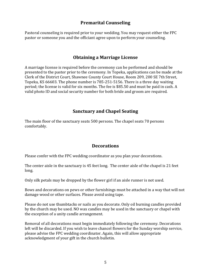#### **Premarital Counseling**

Pastoral counseling is required prior to your wedding. You may request either the FPC pastor or someone you and the officiant agree upon to perform your counseling.

#### **Obtaining a Marriage License**

A marriage license is required before the ceremony can be performed and should be presented to the pastor prior to the ceremony. In Topeka, applications can be made at the Clerk of the District Court, Shawnee County Court House, Room 209, 200 SE 7th Street, Topeka, KS 66603. The phone number is 785-251-5156. There is a three day waiting period; the license is valid for six months. The fee is \$85.50 and must be paid in cash. A valid photo ID and social security number for both bride and groom are required.

#### **Sanctuary and Chapel Seating**

The main floor of the sanctuary seats 500 persons. The chapel seats 70 persons comfortably.

#### **Decorations**

Please confer with the FPC wedding coordinator as you plan your decorations.

The center aisle in the sanctuary is 45 feet long. The center aisle of the chapel is 21 feet long.

Only silk petals may be dropped by the flower girl if an aisle runner is not used.

Bows and decorations on pews or other furnishings must be attached in a way that will not damage wood or other surfaces. Please avoid using tape.

Please do not use thumbtacks or nails as you decorate. Only oil burning candles provided by the church may be used. NO wax candles may be used in the sanctuary or chapel with the exception of a unity candle arrangement.

Removal of all decorations must begin immediately following the ceremony. Decorations left will be discarded. If you wish to leave chancel flowers for the Sunday worship service, please advise the FPC wedding coordinator. Again, this will allow appropriate acknowledgment of your gift in the church bulletin.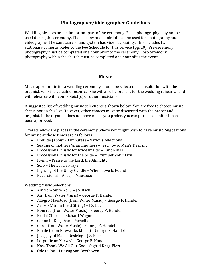# **Photographer/Videographer Guidelines**

Wedding pictures are an important part of the ceremony. Flash photography may not be used during the ceremony. The balcony and choir loft can be used for photography and videography. The sanctuary sound system has video capability. This includes two stationary cameras. Refer to the Fee Schedule for this service (pg. 10). Pre-ceremony photography must be completed one hour prior to the ceremony. Post-ceremony photography within the church must be completed one hour after the event.

#### **Music**

Music appropriate for a wedding ceremony should be selected in consultation with the organist, who is a valuable resource. She will also be present for the wedding rehearsal and will rehearse with your soloist(s) or other musicians.

A suggested list of wedding music selections is shown below. You are free to choose music that is not on this list. However, other choices must be discussed with the pastor and organist. If the organist does not have music you prefer, you can purchase it after it has been approved.

Offered below are places in the ceremony where you might wish to have music. Suggestions for music at those times are as follows:

- Prelude (about 20 minutes) Various selections
- Seating of mothers/grandmothers Jesu, Joy of Man's Desiring
- Processional music for bridesmaids Canon in D
- Processional music for the bride Trumpet Voluntary
- Hymn Praise to the Lord, the Almighty
- Solo The Lord's Prayer
- Lighting of the Unity Candle When Love Is Found
- Recessional Allegro Maestoso

Wedding Music Selections:

- Air from Suite No. 3 J.S. Bach
- Air (from Water Music) George F. Handel
- Allegro Maestoso (from Water Music) George F. Handel
- Arioso (Air on the G String) J.S. Bach
- Bourree (from Water Music) George F. Handel
- Bridal Chorus Richard Wagner
- Canon in D Johann Pachelbel
- Coro (from Water Music) George F. Handel
- Finale (from Fireworks Music) George F. Handel
- Jesu, Joy of Man's Desiring J.S. Bach
- Largo (from Xerxes) George F. Handel
- Now Thank We All Our God Sigfrid Karg-Elert
- Ode to Joy Ludwig van Beethoven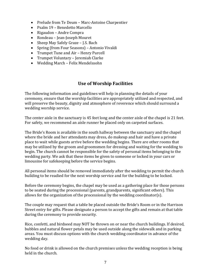- Prelude from Te Deum Marc-Antoine Charpentier
- Psalm 19 Benedetto Marcello
- Rigaudon Andre Compra
- Rondeau Jean-Joseph Mouret
- Sheep May Safely Graze J.S. Bach
- Spring (from Four Seasons) Antonio Vivaldi
- Trumpet Tune and Air Henry Purcell
- Trumpet Voluntary Jeremiah Clarke
- Wedding March Felix Mendelssohn

# **Use of Worship Facilities**

The following information and guidelines will help in planning the details of your ceremony, ensure that the worship facilities are appropriately utilized and respected, and will preserve the beauty, dignity and atmosphere of reverence which should surround a wedding worship service.

The center aisle in the sanctuary is 45 feet long and the center aisle of the chapel is 21 feet. For safety, we recommend an aisle runner be placed only on carpeted surfaces.

The Bride's Room is available in the south hallway between the sanctuary and the chapel where the bride and her attendants may dress, do makeup and hair and have a private place to wait while guests arrive before the wedding begins. There are other rooms that may be utilized by the groom and groomsmen for dressing and waiting for the wedding to begin. The church cannot be responsible for the safety of personal items belonging to the wedding party. We ask that these items be given to someone or locked in your cars or limousine for safekeeping before the service begins.

All personal items should be removed immediately after the wedding to permit the church building to be readied for the next worship service and for the building to be locked.

Before the ceremony begins, the chapel may be used as a gathering place for those persons to be seated during the processional (parents, grandparents, significant others). This allows for the organization of the processional by the wedding coordinator(s).

The couple may request that a table be placed outside the Bride's Room or in the Harrison Street entry for gifts. Please designate a person to accept the gifts and remain at that table during the ceremony to provide security.

Rice, confetti, and birdseed may NOT be thrown on or near the church buildings. If desired, bubbles and natural flower petals may be used outside along the sidewalk and in parking areas. You must discuss options with the church wedding coordinator in advance of the wedding day.

No food or drink is allowed on the church premises unless the wedding reception is being held in the church.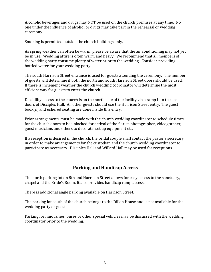Alcoholic beverages and drugs may NOT be used on the church premises at any time. No one under the influence of alcohol or drugs may take part in the rehearsal or wedding ceremony.

Smoking is permitted outside the church buildings only.

As spring weather can often be warm, please be aware that the air conditioning may not yet be in use. Wedding attire is often warm and heavy. We recommend that all members of the wedding party consume plenty of water prior to the wedding. Consider providing bottled water for your wedding party.

The south Harrison Street entrance is used for guests attending the ceremony. The number of guests will determine if both the north and south Harrison Street doors should be used. If there is inclement weather the church wedding coordinator will determine the most efficient way for guests to enter the church.

Disability access to the church is on the north side of the facility via a ramp into the east doors of Disciples Hall. All other guests should use the Harrison Street entry. The guest book(s) and ushered seating are done inside this entry.

Prior arrangements must be made with the church wedding coordinator to schedule times for the church doors to be unlocked for arrival of the florist, photographer, videographer, guest musicians and others to decorate, set up equipment etc.

If a reception is desired in the church, the bridal couple shall contact the pastor's secretary in order to make arrangements for the custodian and the church wedding coordinator to participate as necessary. Disciples Hall and Willard Hall may be used for receptions.

# **Parking and Handicap Access**

The north parking lot on 8th and Harrison Street allows for easy access to the sanctuary, chapel and the Bride's Room. It also provides handicap ramp access.

There is additional angle parking available on Harrison Street.

The parking lot south of the church belongs to the Dillon House and is not available for the wedding party or guests.

Parking for limousines, buses or other special vehicles may be discussed with the wedding coordinator prior to the wedding.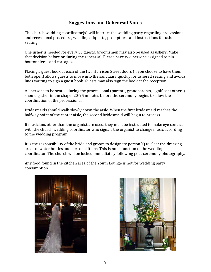### **Suggestions and Rehearsal Notes**

The church wedding coordinator(s) will instruct the wedding party regarding processional and recessional procedure, wedding etiquette, promptness and instructions for usher seating.

One usher is needed for every 50 guests. Groomsmen may also be used as ushers. Make that decision before or during the rehearsal. Please have two persons assigned to pin boutonnieres and corsages.

Placing a guest book at each of the two Harrison Street doors (if you choose to have them both open) allows guests to move into the sanctuary quickly for ushered seating and avoids lines waiting to sign a guest book. Guests may also sign the book at the reception.

All persons to be seated during the processional (parents, grandparents, significant others) should gather in the chapel 20-25 minutes before the ceremony begins to allow the coordination of the processional.

Bridesmaids should walk slowly down the aisle. When the first bridesmaid reaches the halfway point of the center aisle, the second bridesmaid will begin to process.

If musicians other than the organist are used, they must be instructed to make eye contact with the church wedding coordinator who signals the organist to change music according to the wedding program.

It is the responsibility of the bride and groom to designate  $person(s)$  to clear the dressing areas of water bottles and personal items. This is not a function of the wedding coordinator. The church will be locked immediately following post-ceremony photography.

Any food found in the kitchen area of the Youth Lounge is not for wedding party consumption.



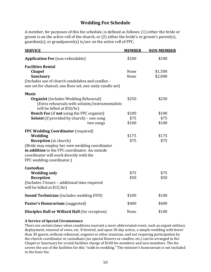#### **Wedding Fee Schedule**

A member, for purposes of this fee schedule, is defined as follows: (1) either the bride or groom is on the active roll of the church, or (2) either the bride's or groom's parent(s), guardian(s), or grandparent(s) is/are on the active roll of FPC.

| <b>SERVICE</b>                                                                                                                                                                                                                                                  | <b>MEMBER</b>  | <b>NON-MEMBER</b>  |
|-----------------------------------------------------------------------------------------------------------------------------------------------------------------------------------------------------------------------------------------------------------------|----------------|--------------------|
| <b>Application Fee (non-refundable)</b>                                                                                                                                                                                                                         | \$100          | \$100              |
| <b>Facilities Rental</b><br><b>Chapel</b><br>Sanctuary<br>(Includes use of church candelabra and candles -<br>one set for chancel, one floor set, one unity candle set)                                                                                         | None<br>None   | \$1,500<br>\$2,000 |
| <b>Music</b><br><b>Organist</b> (includes Wedding Rehearsal)<br>(Extra rehearsals with soloists/instrumentalists<br>will be billed at \$50/hr)<br><b>Bench Fee (if not using the FPC organist)</b>                                                              | \$250<br>\$100 | \$250<br>\$100     |
| <b>Soloist</b> (if provided by church) - one song<br>two songs                                                                                                                                                                                                  | \$75<br>\$100  | \$75<br>\$100      |
| <b>FPC Wedding Coordinator (required)</b><br>Wedding<br><b>Reception</b> (at church)<br>(Bride may employ her own wedding coordinator<br>in addition to the FPC coordinator. An outside<br>coordinator will work directly with the<br>FPC wedding coordinator.) | \$175<br>\$75  | \$175<br>\$75      |
| Custodian<br><b>Wedding only</b><br>Reception<br>(Includes 3 hours - additional time required<br>will be billed at \$15/hr)                                                                                                                                     | \$75<br>\$50   | \$75<br>\$50       |
| <b>Sound Technician</b> (includes wedding DVD)                                                                                                                                                                                                                  | \$100          | \$100              |
| Pastor's Honorarium (suggested)                                                                                                                                                                                                                                 | \$400          | \$400              |
| <b>Disciples Hall or Willard Hall (for reception)</b>                                                                                                                                                                                                           | None           | \$100              |

#### **A Service of Special Circumstance**

There are certain times when conditions warrant a more abbreviated event, such as urgent military deployment, renewal of vows, etc. If desired, and upon 30 day notice, a simple wedding with fewer than 30 guests, without rehearsal, organist or other musician, and not requiring participation by the church coordinator or custodians (no special flowers or candles, etc.) can be arranged in the Chapel or Sanctuary for a total facilities charge of \$100 for members and non-members. The fee covers the use of the facilities for this "walk-in wedding." The minister's honorarium is not included in the basic fee.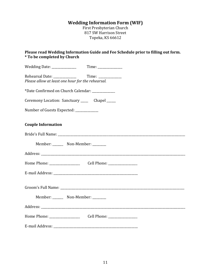# **Wedding Information Form (WIF)**

First Presbyterian Church 817 SW Harrison Street Topeka, KS 66612

**Please read Wedding Information Guide and Fee Schedule prior to filling out form. \* To be completed by Church**

| Wedding Date: _____________             |                                                   |  |
|-----------------------------------------|---------------------------------------------------|--|
|                                         | Please allow at least one hour for the rehearsal. |  |
|                                         | *Date Confirmed on Church Calendar: _____________ |  |
|                                         | Ceremony Location: Sanctuary ______ Chapel _____  |  |
| Number of Guests Expected: ____________ |                                                   |  |
| <b>Couple Information</b>               |                                                   |  |
|                                         |                                                   |  |
|                                         | Member: _______ Non-Member: _______               |  |
|                                         |                                                   |  |
|                                         |                                                   |  |
|                                         |                                                   |  |
|                                         |                                                   |  |
|                                         | Member: _______ Non-Member: _______               |  |
|                                         |                                                   |  |
|                                         |                                                   |  |
|                                         |                                                   |  |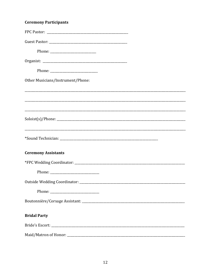| <b>Ceremony Participants</b>      |  |
|-----------------------------------|--|
|                                   |  |
|                                   |  |
|                                   |  |
|                                   |  |
|                                   |  |
| Other Musicians/Instrument/Phone: |  |
|                                   |  |
|                                   |  |
|                                   |  |
|                                   |  |
|                                   |  |
|                                   |  |
| <b>Ceremony Assistants</b>        |  |
|                                   |  |
|                                   |  |
|                                   |  |
|                                   |  |
|                                   |  |
| <b>Bridal Party</b>               |  |
|                                   |  |
|                                   |  |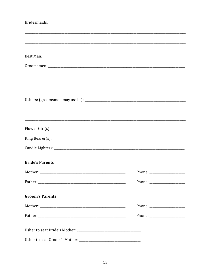| <u> 1990 - Johann Stoff, amerikan bestein besteht aus dem Berlingen aus dem Berlingen aus dem Berlingen aus der E</u> |  |
|-----------------------------------------------------------------------------------------------------------------------|--|
|                                                                                                                       |  |
|                                                                                                                       |  |
|                                                                                                                       |  |
|                                                                                                                       |  |
| <b>Bride's Parents</b>                                                                                                |  |
| Mother:                                                                                                               |  |
|                                                                                                                       |  |
|                                                                                                                       |  |
| <b>Groom's Parents</b>                                                                                                |  |
|                                                                                                                       |  |
|                                                                                                                       |  |
|                                                                                                                       |  |
|                                                                                                                       |  |
| Usher to seat Groom's Mother:                                                                                         |  |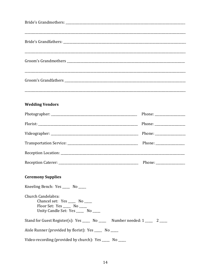| Groom's Grandmothers <b>contract to the Contract of Contract Contract of Contract Contract Contract Contract Contract Contract Contract Contract Contract Contract Contract Contract Contract Contract Contract Contract Contrac</b> |  |
|--------------------------------------------------------------------------------------------------------------------------------------------------------------------------------------------------------------------------------------|--|
|                                                                                                                                                                                                                                      |  |
| <u> 1980 - Johann Stoff, deutscher Stoffen und der Stoffen und der Stoffen und der Stoffen und der Stoffen und de</u><br><b>Wedding Vendors</b>                                                                                      |  |
|                                                                                                                                                                                                                                      |  |
|                                                                                                                                                                                                                                      |  |
|                                                                                                                                                                                                                                      |  |
|                                                                                                                                                                                                                                      |  |
|                                                                                                                                                                                                                                      |  |
|                                                                                                                                                                                                                                      |  |
| <b>Ceremony Supplies</b>                                                                                                                                                                                                             |  |
| Kneeling Bench: Yes _____ No ____                                                                                                                                                                                                    |  |
| Church Candelabra:<br>Chancel set: Yes _____ No ____<br>Floor Set: Yes _____ No ____<br>Unity Candle Set: Yes _____ No ____                                                                                                          |  |
| Stand for Guest Register(s): Yes _____ No _____ Number needed: 1 ____ 2 ____                                                                                                                                                         |  |
| Aisle Runner (provided by florist): Yes _____ No _____                                                                                                                                                                               |  |
| Video-recording (provided by church): Yes _____ No ____                                                                                                                                                                              |  |